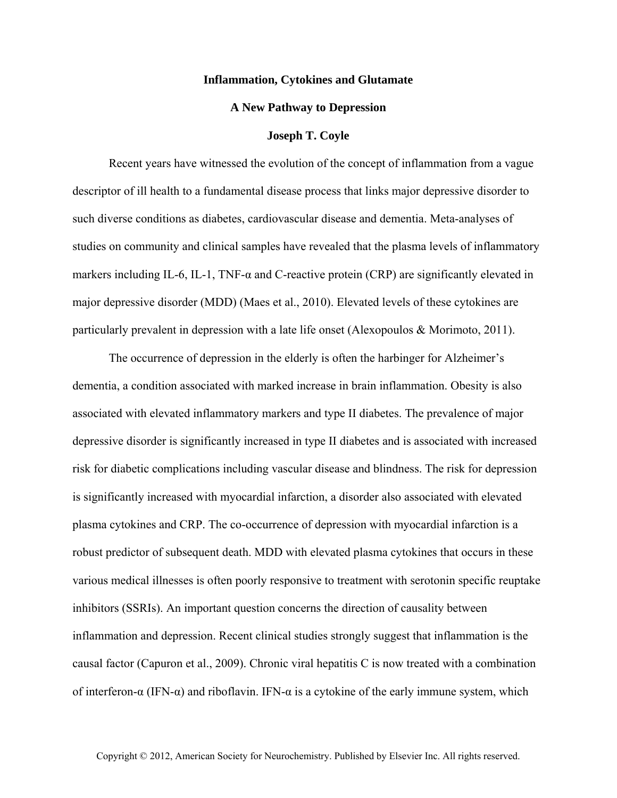## **Inflammation, Cytokines and Glutamate**

## **A New Pathway to Depression**

## **Joseph T. Coyle**

Recent years have witnessed the evolution of the concept of inflammation from a vague descriptor of ill health to a fundamental disease process that links major depressive disorder to such diverse conditions as diabetes, cardiovascular disease and dementia. Meta-analyses of studies on community and clinical samples have revealed that the plasma levels of inflammatory markers including IL-6, IL-1, TNF-α and C-reactive protein (CRP) are significantly elevated in major depressive disorder (MDD) (Maes et al., 2010). Elevated levels of these cytokines are particularly prevalent in depression with a late life onset (Alexopoulos & Morimoto, 2011).

The occurrence of depression in the elderly is often the harbinger for Alzheimer's dementia, a condition associated with marked increase in brain inflammation. Obesity is also associated with elevated inflammatory markers and type II diabetes. The prevalence of major depressive disorder is significantly increased in type II diabetes and is associated with increased risk for diabetic complications including vascular disease and blindness. The risk for depression is significantly increased with myocardial infarction, a disorder also associated with elevated plasma cytokines and CRP. The co-occurrence of depression with myocardial infarction is a robust predictor of subsequent death. MDD with elevated plasma cytokines that occurs in these various medical illnesses is often poorly responsive to treatment with serotonin specific reuptake inhibitors (SSRIs). An important question concerns the direction of causality between inflammation and depression. Recent clinical studies strongly suggest that inflammation is the causal factor (Capuron et al., 2009). Chronic viral hepatitis C is now treated with a combination of interferon-α (IFN-α) and riboflavin. IFN-α is a cytokine of the early immune system, which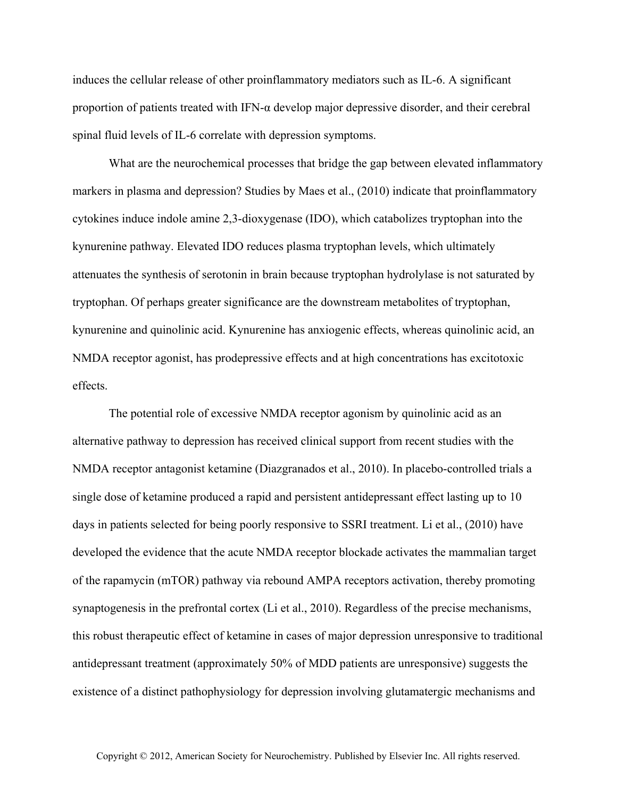induces the cellular release of other proinflammatory mediators such as IL-6. A significant proportion of patients treated with IFN- $\alpha$  develop major depressive disorder, and their cerebral spinal fluid levels of IL-6 correlate with depression symptoms.

What are the neurochemical processes that bridge the gap between elevated inflammatory markers in plasma and depression? Studies by Maes et al., (2010) indicate that proinflammatory cytokines induce indole amine 2,3-dioxygenase (IDO), which catabolizes tryptophan into the kynurenine pathway. Elevated IDO reduces plasma tryptophan levels, which ultimately attenuates the synthesis of serotonin in brain because tryptophan hydrolylase is not saturated by tryptophan. Of perhaps greater significance are the downstream metabolites of tryptophan, kynurenine and quinolinic acid. Kynurenine has anxiogenic effects, whereas quinolinic acid, an NMDA receptor agonist, has prodepressive effects and at high concentrations has excitotoxic effects.

The potential role of excessive NMDA receptor agonism by quinolinic acid as an alternative pathway to depression has received clinical support from recent studies with the NMDA receptor antagonist ketamine (Diazgranados et al., 2010). In placebo-controlled trials a single dose of ketamine produced a rapid and persistent antidepressant effect lasting up to 10 days in patients selected for being poorly responsive to SSRI treatment. Li et al., (2010) have developed the evidence that the acute NMDA receptor blockade activates the mammalian target of the rapamycin (mTOR) pathway via rebound AMPA receptors activation, thereby promoting synaptogenesis in the prefrontal cortex (Li et al., 2010). Regardless of the precise mechanisms, this robust therapeutic effect of ketamine in cases of major depression unresponsive to traditional antidepressant treatment (approximately 50% of MDD patients are unresponsive) suggests the existence of a distinct pathophysiology for depression involving glutamatergic mechanisms and